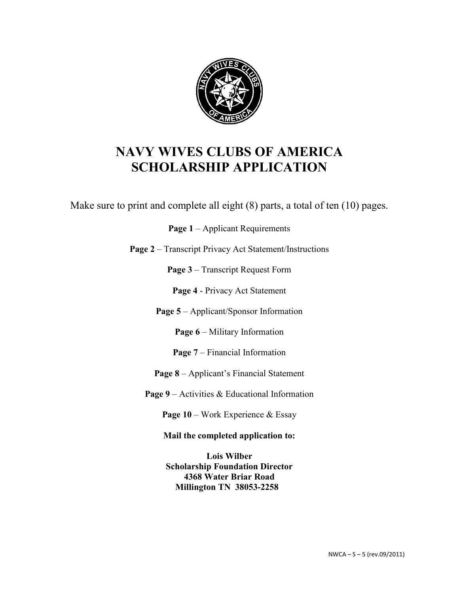

Make sure to print and complete all eight (8) parts, a total of ten (10) pages.

Page 1 – Applicant Requirements

**Page 2** – Transcript Privacy Act Statement/Instructions

**Page 3** – Transcript Request Form

**Page 4** - Privacy Act Statement

**Page 5** – Applicant/Sponsor Information

Page 6 – Military Information

**Page 7** – Financial Information

**Page 8** – Applicant's Financial Statement

**Page 9** – Activities & Educational Information

**Page 10** – Work Experience & Essay

**Mail the completed application to:**

**Lois Wilber Scholarship Foundation Director 4368 Water Briar Road Millington TN 38053-2258**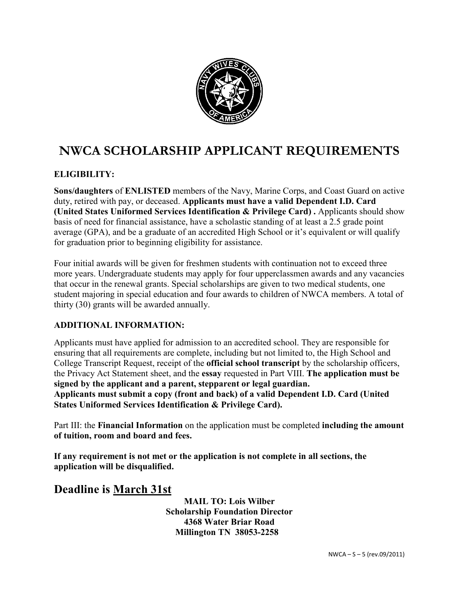

# **NWCA SCHOLARSHIP APPLICANT REQUIREMENTS**

#### **ELIGIBILITY:**

**Sons/daughters** of **ENLISTED** members of the Navy, Marine Corps, and Coast Guard on active duty, retired with pay, or deceased. **Applicants must have a valid Dependent I.D. Card (United States Uniformed Services Identification & Privilege Card) .** Applicants should show basis of need for financial assistance, have a scholastic standing of at least a 2.5 grade point average (GPA), and be a graduate of an accredited High School or it's equivalent or will qualify for graduation prior to beginning eligibility for assistance.

Four initial awards will be given for freshmen students with continuation not to exceed three more years. Undergraduate students may apply for four upperclassmen awards and any vacancies that occur in the renewal grants. Special scholarships are given to two medical students, one student majoring in special education and four awards to children of NWCA members. A total of thirty (30) grants will be awarded annually.

#### **ADDITIONAL INFORMATION:**

Applicants must have applied for admission to an accredited school. They are responsible for ensuring that all requirements are complete, including but not limited to, the High School and College Transcript Request, receipt of the **official school transcript** by the scholarship officers, the Privacy Act Statement sheet, and the **essay** requested in Part VIII. **The application must be signed by the applicant and a parent, stepparent or legal guardian. Applicants must submit a copy (front and back) of a valid Dependent I.D. Card (United States Uniformed Services Identification & Privilege Card).** 

Part III: the **Financial Information** on the application must be completed **including the amount of tuition, room and board and fees.** 

**If any requirement is not met or the application is not complete in all sections, the application will be disqualified.** 

### **Deadline is March 31st**

**MAIL TO: Lois Wilber Scholarship Foundation Director 4368 Water Briar Road Millington TN 38053-2258**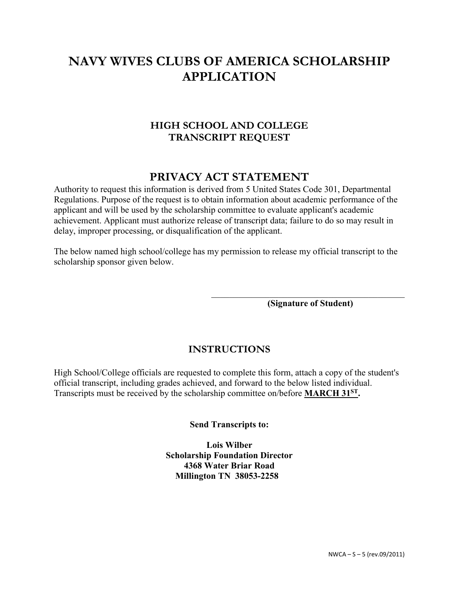### **HIGH SCHOOL AND COLLEGE TRANSCRIPT REQUEST**

## **PRIVACY ACT STATEMENT**

Authority to request this information is derived from 5 United States Code 301, Departmental Regulations. Purpose of the request is to obtain information about academic performance of the applicant and will be used by the scholarship committee to evaluate applicant's academic achievement. Applicant must authorize release of transcript data; failure to do so may result in delay, improper processing, or disqualification of the applicant.

The below named high school/college has my permission to release my official transcript to the scholarship sponsor given below.

> $\mathcal{L}_\mathcal{L}$  , and the set of the set of the set of the set of the set of the set of the set of the set of the set of the set of the set of the set of the set of the set of the set of the set of the set of the set of th **(Signature of Student)**

### **INSTRUCTIONS**

High School/College officials are requested to complete this form, attach a copy of the student's official transcript, including grades achieved, and forward to the below listed individual. Transcripts must be received by the scholarship committee on/before **MARCH 31ST.** 

**Send Transcripts to:**

**Lois Wilber Scholarship Foundation Director 4368 Water Briar Road Millington TN 38053-2258**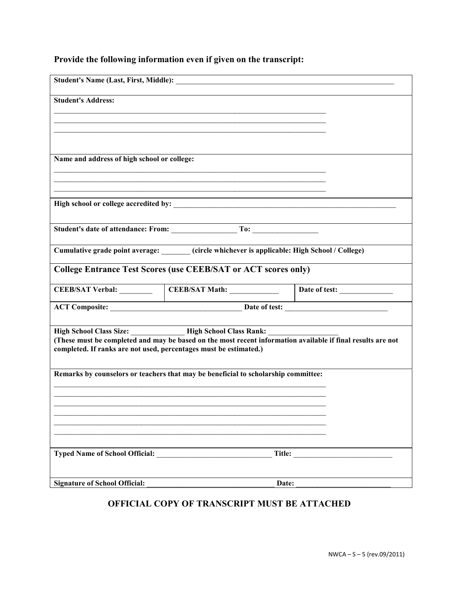|  |  | Provide the following information even if given on the transcript: |
|--|--|--------------------------------------------------------------------|
|  |  |                                                                    |

| <b>Student's Address:</b>                                         |                                                                                                                                                                |        |
|-------------------------------------------------------------------|----------------------------------------------------------------------------------------------------------------------------------------------------------------|--------|
|                                                                   |                                                                                                                                                                |        |
|                                                                   |                                                                                                                                                                |        |
| Name and address of high school or college:                       |                                                                                                                                                                |        |
|                                                                   |                                                                                                                                                                |        |
|                                                                   |                                                                                                                                                                |        |
|                                                                   |                                                                                                                                                                |        |
|                                                                   |                                                                                                                                                                |        |
|                                                                   | Cumulative grade point average: ______ (circle whichever is applicable: High School / College)                                                                 |        |
|                                                                   | <b>College Entrance Test Scores (use CEEB/SAT or ACT scores only)</b>                                                                                          |        |
|                                                                   | CEEB/SAT Verbal: CEEB/SAT Math: Date of test:                                                                                                                  |        |
|                                                                   |                                                                                                                                                                |        |
|                                                                   | High School Class Size: High School Class Rank:<br>(These must be completed and may be based on the most recent information available if final results are not |        |
| completed. If ranks are not used, percentages must be estimated.) |                                                                                                                                                                |        |
|                                                                   | Remarks by counselors or teachers that may be beneficial to scholarship committee:                                                                             |        |
|                                                                   |                                                                                                                                                                |        |
|                                                                   |                                                                                                                                                                |        |
|                                                                   |                                                                                                                                                                |        |
|                                                                   |                                                                                                                                                                |        |
| <b>Typed Name of School Official:</b>                             |                                                                                                                                                                | Title: |
|                                                                   |                                                                                                                                                                |        |
| <b>Signature of School Official:</b>                              | Date:                                                                                                                                                          |        |

## **OFFICIAL COPY OF TRANSCRIPT MUST BE ATTACHED**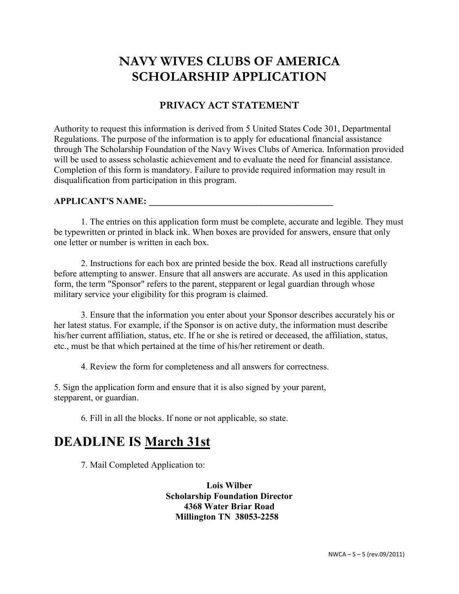### **PRIVACY ACT STATEMENT**

Authority to request this information is derived from 5 United States Code 301, Departmental Regulations. The purpose of the information is to apply for educational financial assistance through The Scholarship Foundation of the Navy Wives Clubs of America. Information provided will be used to assess scholastic achievement and to evaluate the need for financial assistance. Completion of this form is mandatory. Failure to provide required information may result in disqualification from participation in this program.

#### **APPLICANT'S NAME: \_\_\_\_\_\_\_\_\_\_\_\_\_\_\_\_\_\_\_\_\_\_\_\_\_\_\_\_\_\_\_\_\_\_\_\_\_\_\_\_\_**

1. The entries on this application form must be complete, accurate and legible. They must be typewritten or printed in black ink. When boxes are provided for answers, ensure that only one letter or number is written in each box.

2. Instructions for each box are printed beside the box. Read all instructions carefully before attempting to answer. Ensure that all answers are accurate. As used in this application form, the term "Sponsor" refers to the parent, stepparent or legal guardian through whose military service your eligibility for this program is claimed.

3. Ensure that the information you enter about your Sponsor describes accurately his or her latest status. For example, if the Sponsor is on active duty, the information must describe his/her current affiliation, status, etc. If he or she is retired or deceased, the affiliation, status, etc., must be that which pertained at the time of his/her retirement or death.

4. Review the form for completeness and all answers for correctness.

5. Sign the application form and ensure that it is also signed by your parent, stepparent, or guardian.

6. Fill in all the blocks. If none or not applicable, so state.

## **DEADLINE IS March 31st**

7. Mail Completed Application to:

**Lois Wilber Scholarship Foundation Director 4368 Water Briar Road Millington TN 38053-2258**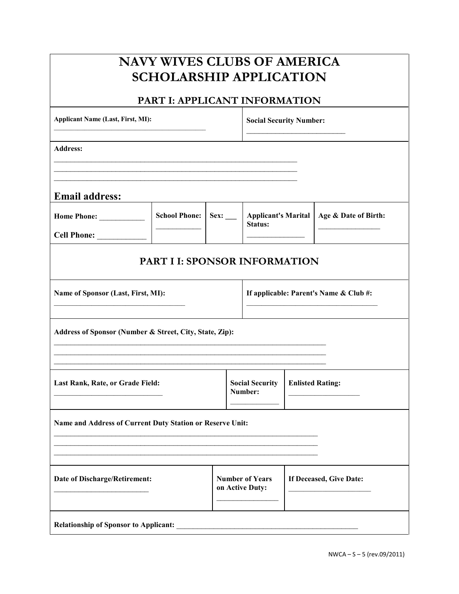### **NAVY WIVES CLUBS OF AMERICA SCHOLARSHIP APPLICATION PART I: APPLICANT INFORMATION** Applicant Name (Last, First, MI): *Social Security Number:* **Social Security Number:**  $\mathcal{L}_\text{max}$  , where  $\mathcal{L}_\text{max}$  , we have the set of  $\mathcal{L}_\text{max}$ **Address:**   $\mathcal{L}_\text{max}$  , and the contribution of the contribution of the contribution of the contribution of the contribution of the contribution of the contribution of the contribution of the contribution of the contribution of t  $\mathcal{L}_\text{max}$  , and the contribution of the contribution of the contribution of the contribution of the contribution of the contribution of the contribution of the contribution of the contribution of the contribution of t **Email address: Home Phone:** \_\_\_\_\_\_\_\_\_\_\_ **School Phone: Cell Phone:** \_\_\_\_\_\_\_\_\_\_\_\_  $\frac{1}{2}$ **Sex: \_\_\_ Applicant's Marital Age & Date of Birth: Status:**   $\frac{1}{2}$  $\frac{1}{2}$ **PART I I: SPONSOR INFORMATION Name of Sponsor (Last, First, MI):**  \_\_\_\_\_\_\_\_\_\_\_\_\_\_\_\_\_\_\_\_\_\_\_\_\_\_\_\_\_\_\_\_\_\_\_ **If applicable: Parent's Name & Club #:**  \_\_\_\_\_\_\_\_\_\_\_\_\_\_\_\_\_\_\_\_\_\_\_\_\_\_\_\_\_\_\_\_\_\_\_ **Address of Sponsor (Number & Street, City, State, Zip):**   $\mathcal{L}_\text{max}$  , and the contract of the contract of the contract of the contract of the contract of the contract of  $\mathcal{L}_\text{max}$  , and the contract of the contract of the contract of the contract of the contract of the contract of  $\mathcal{L}_\text{max}$  , and the contract of the contract of the contract of the contract of the contract of the contract of **Last Rank, Rate, or Grade Field:**   $\mathcal{L}_\text{max}$  , and the set of the set of the set of the set of the set of the set of the set of the set of the set of the set of the set of the set of the set of the set of the set of the set of the set of the set of the **Social Security Number:**   $\mathcal{L}=\mathcal{L}$ **Enlisted Rating:**   $\frac{1}{2}$  ,  $\frac{1}{2}$  ,  $\frac{1}{2}$  ,  $\frac{1}{2}$  ,  $\frac{1}{2}$  ,  $\frac{1}{2}$  ,  $\frac{1}{2}$  ,  $\frac{1}{2}$  ,  $\frac{1}{2}$ **Name and Address of Current Duty Station or Reserve Unit:**   $\mathcal{L}_\text{max}$  , and the contract of the contract of the contract of the contract of the contract of the contract of  $\mathcal{L}_\text{max}$  , and the contract of the contract of the contract of the contract of the contract of the contract of  $\mathcal{L}_\text{max}$  , and the contribution of the contribution of the contribution of the contribution of the contribution of the contribution of the contribution of the contribution of the contribution of the contribution of t **Date of Discharge/Retirement:**   $\mathcal{L}_\text{max}$  , where  $\mathcal{L}_\text{max}$  , we have the set of  $\mathcal{L}_\text{max}$ **Number of Years on Active Duty:**   $\frac{1}{2}$ **If Deceased, Give Date:**  \_\_\_\_\_\_\_\_\_\_\_\_\_\_\_\_\_\_\_\_\_\_ Relationship of Sponsor to Applicant: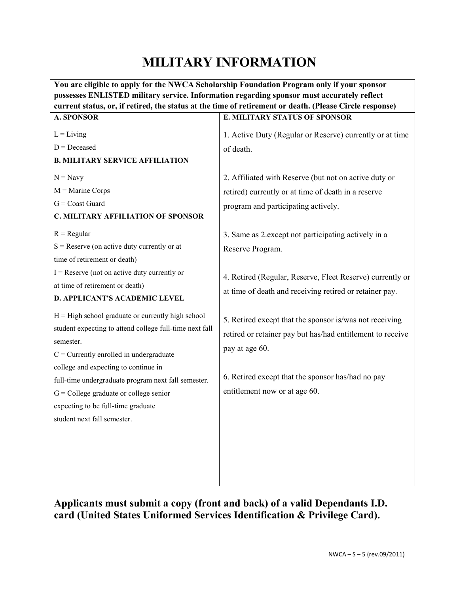# **MILITARY INFORMATION**

**You are eligible to apply for the NWCA Scholarship Foundation Program only if your sponsor possesses ENLISTED military service. Information regarding sponsor must accurately reflect current status, or, if retired, the status at the time of retirement or death. (Please Circle response) A. SPONSOR**   $L =$ Living  $D = Decesed$ **B. MILITARY SERVICE AFFILIATION**   $N = N$ avy  $M =$ Marine Corps  $G =$ Coast Guard **C. MILITARY AFFILIATION OF SPONSOR**  $R =$ Regular  $S =$  Reserve (on active duty currently or at time of retirement or death)  $I =$  Reserve (not on active duty currently or at time of retirement or death) **D. APPLICANT'S ACADEMIC LEVEL**   $H = High school graduate or currently high school$ student expecting to attend college full-time next fall semester.  $C =$  Currently enrolled in undergraduate college and expecting to continue in full-time undergraduate program next fall semester.  $G =$  College graduate or college senior expecting to be full-time graduate student next fall semester. **E. MILITARY STATUS OF SPONSOR**  1. Active Duty (Regular or Reserve) currently or at time of death. 2. Affiliated with Reserve (but not on active duty or retired) currently or at time of death in a reserve program and participating actively. 3. Same as 2.except not participating actively in a Reserve Program. 4. Retired (Regular, Reserve, Fleet Reserve) currently or at time of death and receiving retired or retainer pay. 5. Retired except that the sponsor is/was not receiving retired or retainer pay but has/had entitlement to receive pay at age 60. 6. Retired except that the sponsor has/had no pay entitlement now or at age 60.

**Applicants must submit a copy (front and back) of a valid Dependants I.D. card (United States Uniformed Services Identification & Privilege Card).**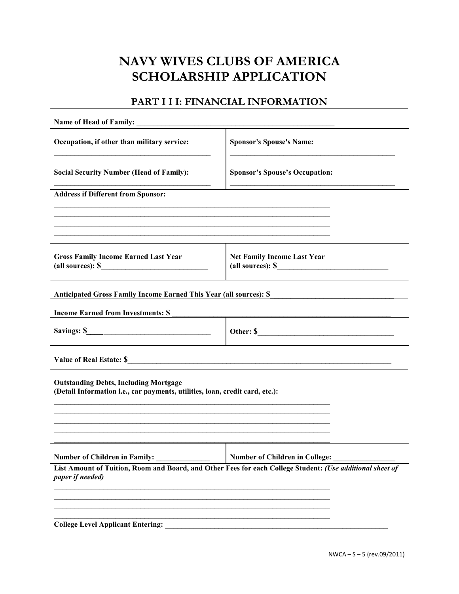### **PART I I I: FINANCIAL INFORMATION**

| Occupation, if other than military service:                                                                                  | <b>Sponsor's Spouse's Name:</b>                                                                           |  |  |
|------------------------------------------------------------------------------------------------------------------------------|-----------------------------------------------------------------------------------------------------------|--|--|
| <b>Social Security Number (Head of Family):</b>                                                                              | <b>Sponsor's Spouse's Occupation:</b>                                                                     |  |  |
| <b>Address if Different from Sponsor:</b>                                                                                    |                                                                                                           |  |  |
|                                                                                                                              |                                                                                                           |  |  |
|                                                                                                                              |                                                                                                           |  |  |
| <b>Gross Family Income Earned Last Year</b><br>(all sources): $\frac{1}{2}$                                                  | Net Family Income Last Year<br>(all sources): $\mathcal{S}$                                               |  |  |
| Anticipated Gross Family Income Earned This Year (all sources): \$                                                           |                                                                                                           |  |  |
| <b>Income Earned from Investments: \$</b>                                                                                    |                                                                                                           |  |  |
| Savings: $\frac{\text{S}}{\text{S}}$                                                                                         |                                                                                                           |  |  |
| Value of Real Estate: \$                                                                                                     |                                                                                                           |  |  |
| <b>Outstanding Debts, Including Mortgage</b><br>(Detail Information i.e., car payments, utilities, loan, credit card, etc.): |                                                                                                           |  |  |
|                                                                                                                              |                                                                                                           |  |  |
| <b>Number of Children in Family:</b>                                                                                         | <b>Number of Children in College:</b>                                                                     |  |  |
| paper if needed)                                                                                                             | List Amount of Tuition, Room and Board, and Other Fees for each College Student: (Use additional sheet of |  |  |
|                                                                                                                              |                                                                                                           |  |  |
| <b>College Level Applicant Entering:</b>                                                                                     |                                                                                                           |  |  |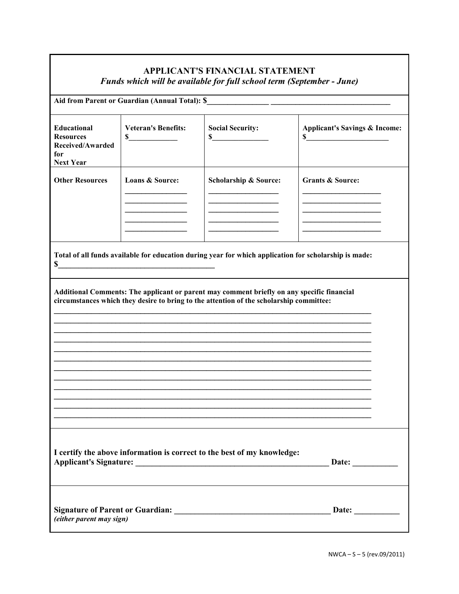### **APPLICANT'S FINANCIAL STATEMENT** *Funds which will be available for full school term (September - June)*

| Aid from Parent or Guardian (Annual Total): \$                                                              |                                  |                                                                                                                                                                                       |                                                |
|-------------------------------------------------------------------------------------------------------------|----------------------------------|---------------------------------------------------------------------------------------------------------------------------------------------------------------------------------------|------------------------------------------------|
| Educational<br><b>Resources</b><br>Received/Awarded<br>for<br><b>Next Year</b>                              | <b>Veteran's Benefits:</b><br>\$ | <b>Social Security:</b><br>$\int$                                                                                                                                                     | <b>Applicant's Savings &amp; Income:</b><br>\$ |
| <b>Other Resources</b>                                                                                      | Loans & Source:                  | Scholarship & Source:                                                                                                                                                                 | <b>Grants &amp; Source:</b>                    |
| Total of all funds available for education during year for which application for scholarship is made:<br>\$ |                                  |                                                                                                                                                                                       |                                                |
|                                                                                                             |                                  | Additional Comments: The applicant or parent may comment briefly on any specific financial<br>circumstances which they desire to bring to the attention of the scholarship committee: |                                                |
| I certify the above information is correct to the best of my knowledge:<br>Date:                            |                                  |                                                                                                                                                                                       |                                                |
| (either parent may sign)                                                                                    |                                  |                                                                                                                                                                                       |                                                |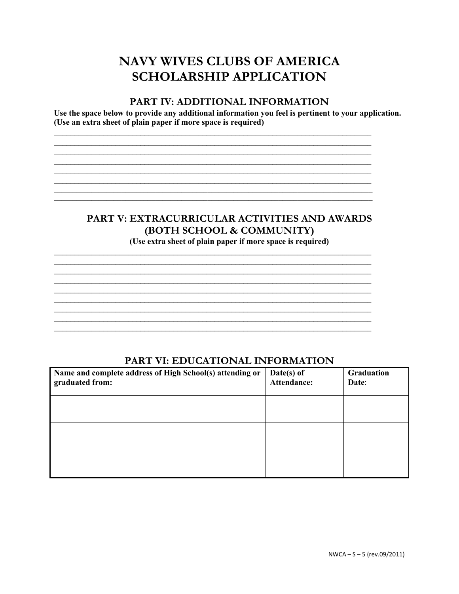#### **PART IV: ADDITIONAL INFORMATION**

Use the space below to provide any additional information you feel is pertinent to your application. (Use an extra sheet of plain paper if more space is required)

> <u> 1989 - Johann Stoff, amerikansk politiker (d. 1989)</u>

## PART V: EXTRACURRICULAR ACTIVITIES AND AWARDS (BOTH SCHOOL & COMMUNITY)

(Use extra sheet of plain paper if more space is required)

### PART VI: EDUCATIONAL INFORMATION

| Name and complete address of High School(s) attending or<br>graduated from: | Date(s) of<br>Attendance: | Graduation<br>Date: |
|-----------------------------------------------------------------------------|---------------------------|---------------------|
|                                                                             |                           |                     |
|                                                                             |                           |                     |
|                                                                             |                           |                     |